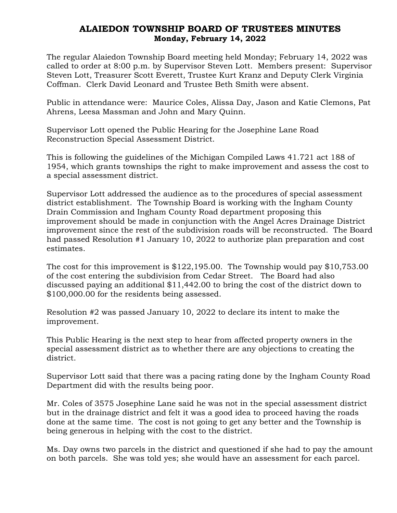## ALAIEDON TOWNSHIP BOARD OF TRUSTEES MINUTES Monday, February 14, 2022

The regular Alaiedon Township Board meeting held Monday; February 14, 2022 was called to order at 8:00 p.m. by Supervisor Steven Lott. Members present: Supervisor Steven Lott, Treasurer Scott Everett, Trustee Kurt Kranz and Deputy Clerk Virginia Coffman. Clerk David Leonard and Trustee Beth Smith were absent.

Public in attendance were: Maurice Coles, Alissa Day, Jason and Katie Clemons, Pat Ahrens, Leesa Massman and John and Mary Quinn.

Supervisor Lott opened the Public Hearing for the Josephine Lane Road Reconstruction Special Assessment District.

This is following the guidelines of the Michigan Compiled Laws 41.721 act 188 of 1954, which grants townships the right to make improvement and assess the cost to a special assessment district.

Supervisor Lott addressed the audience as to the procedures of special assessment district establishment. The Township Board is working with the Ingham County Drain Commission and Ingham County Road department proposing this improvement should be made in conjunction with the Angel Acres Drainage District improvement since the rest of the subdivision roads will be reconstructed. The Board had passed Resolution #1 January 10, 2022 to authorize plan preparation and cost estimates.

The cost for this improvement is \$122,195.00. The Township would pay \$10,753.00 of the cost entering the subdivision from Cedar Street. The Board had also discussed paying an additional \$11,442.00 to bring the cost of the district down to \$100,000.00 for the residents being assessed.

Resolution #2 was passed January 10, 2022 to declare its intent to make the improvement.

This Public Hearing is the next step to hear from affected property owners in the special assessment district as to whether there are any objections to creating the district.

Supervisor Lott said that there was a pacing rating done by the Ingham County Road Department did with the results being poor.

Mr. Coles of 3575 Josephine Lane said he was not in the special assessment district but in the drainage district and felt it was a good idea to proceed having the roads done at the same time. The cost is not going to get any better and the Township is being generous in helping with the cost to the district.

Ms. Day owns two parcels in the district and questioned if she had to pay the amount on both parcels. She was told yes; she would have an assessment for each parcel.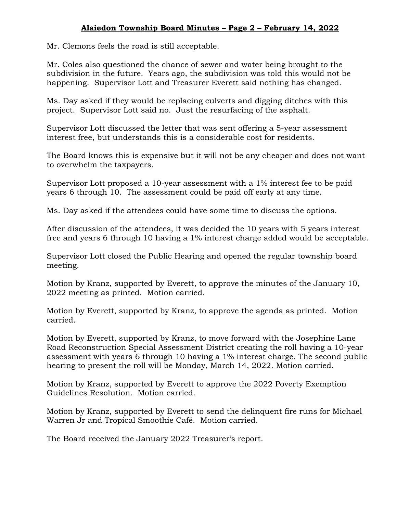## Alaiedon Township Board Minutes – Page 2 – February 14, 2022

Mr. Clemons feels the road is still acceptable.

Mr. Coles also questioned the chance of sewer and water being brought to the subdivision in the future. Years ago, the subdivision was told this would not be happening. Supervisor Lott and Treasurer Everett said nothing has changed.

Ms. Day asked if they would be replacing culverts and digging ditches with this project. Supervisor Lott said no. Just the resurfacing of the asphalt.

Supervisor Lott discussed the letter that was sent offering a 5-year assessment interest free, but understands this is a considerable cost for residents.

The Board knows this is expensive but it will not be any cheaper and does not want to overwhelm the taxpayers.

Supervisor Lott proposed a 10-year assessment with a 1% interest fee to be paid years 6 through 10. The assessment could be paid off early at any time.

Ms. Day asked if the attendees could have some time to discuss the options.

After discussion of the attendees, it was decided the 10 years with 5 years interest free and years 6 through 10 having a 1% interest charge added would be acceptable.

Supervisor Lott closed the Public Hearing and opened the regular township board meeting.

Motion by Kranz, supported by Everett, to approve the minutes of the January 10, 2022 meeting as printed. Motion carried.

Motion by Everett, supported by Kranz, to approve the agenda as printed. Motion carried.

Motion by Everett, supported by Kranz, to move forward with the Josephine Lane Road Reconstruction Special Assessment District creating the roll having a 10-year assessment with years 6 through 10 having a 1% interest charge. The second public hearing to present the roll will be Monday, March 14, 2022. Motion carried.

Motion by Kranz, supported by Everett to approve the 2022 Poverty Exemption Guidelines Resolution. Motion carried.

Motion by Kranz, supported by Everett to send the delinquent fire runs for Michael Warren Jr and Tropical Smoothie Café. Motion carried.

The Board received the January 2022 Treasurer's report.